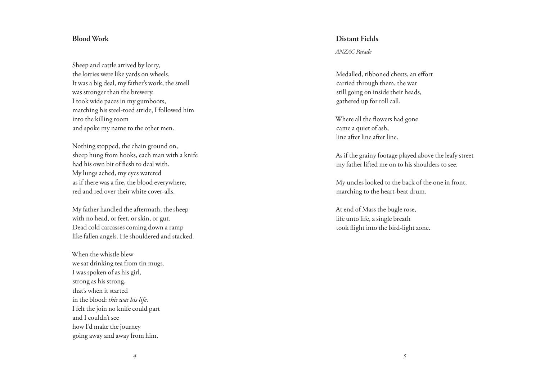#### **Blood Work**

Sheep and cattle arrived by lorry, the lorries were like yards on wheels. It was a big deal, my father's work, the smell was stronger than the brewery. I took wide paces in my gumboots, matching his steel-toed stride, I followed him into the killing room and spoke my name to the other men.

Nothing stopped, the chain ground on, sheep hung from hooks, each man with a knife had his own bit of flesh to deal with. My lungs ached, my eyes watered as if there was a fire, the blood everywhere, red and red over their white cover-alls.

My father handled the aftermath, the sheep with no head, or feet, or skin, or gut. Dead cold carcasses coming down a ramp like fallen angels. He shouldered and stacked.

When the whistle blew we sat drinking tea from tin mugs. I was spoken of as his girl, strong as his strong, that's when it started in the blood: *this was his life.* I felt the join no knife could part and I couldn't see how I'd make the journey going away and away from him.

#### **Distant Fields**

*ANZAC Parade*

Medalled, ribboned chests, an effort carried through them, the war still going on inside their heads, gathered up for roll call.

Where all the flowers had gone came a quiet of ash, line after line after line.

As if the grainy footage played above the leafy street my father lifted me on to his shoulders to see.

My uncles looked to the back of the one in front, marching to the heart-beat drum.

At end of Mass the bugle rose, life unto life, a single breath took flight into the bird-light zone.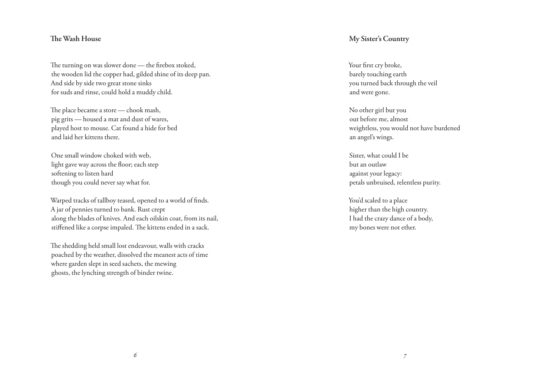## **The Wash House**

The turning on was slower done — the firebox stoked, the wooden lid the copper had, gilded shine of its deep pan. And side by side two great stone sinks for suds and rinse, could hold a muddy child.

The place became a store — chook mash, pig grits — housed a mat and dust of wares, played host to mouse. Cat found a hide for bed and laid her kittens there.

One small window choked with web, light gave way across the floor; each step softening to listen hard though you could never say what for.

Warped tracks of tallboy teased, opened to a world of finds. A jar of pennies turned to bank. Rust crept along the blades of knives. And each oilskin coat, from its nail, stiffened like a corpse impaled. The kittens ended in a sack.

The shedding held small lost endeavour, walls with cracks poached by the weather, dissolved the meanest acts of time where garden slept in seed sachets, the mewing ghosts, the lynching strength of binder twine.

### **My Sister's Country**

Your first cry broke, barely touching earth you turned back through the veil and were gone.

No other girl but you out before me, almost weightless, you would not have burdened an angel's wings.

Sister, what could I be but an outlaw against your legacy: petals unbruised, relentless purity.

You'd scaled to a place higher than the high country. I had the crazy dance of a body, my bones were not ether.